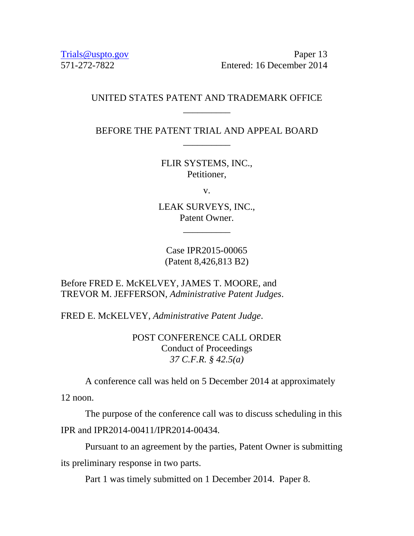Trials @uspto.gov Paper 13 571-272-7822 Entered: 16 December 2014

## UNITED STATES PATENT AND TRADEMARK OFFICE \_\_\_\_\_\_\_\_\_\_

BEFORE THE PATENT TRIAL AND APPEAL BOARD \_\_\_\_\_\_\_\_\_\_

> FLIR SYSTEMS, INC., Petitioner,

> > v.

LEAK SURVEYS, INC., Patent Owner.

\_\_\_\_\_\_\_\_\_\_

Case IPR2015-00065 (Patent 8,426,813 B2)

Before FRED E. McKELVEY, JAMES T. MOORE, and TREVOR M. JEFFERSON, *Administrative Patent Judges*.

FRED E. McKELVEY, *Administrative Patent Judge*.

POST CONFERENCE CALL ORDER Conduct of Proceedings *37 C.F.R. § 42.5(a)* 

A conference call was held on 5 December 2014 at approximately

12 noon.

 The purpose of the conference call was to discuss scheduling in this IPR and IPR2014-00411/IPR2014-00434.

 Pursuant to an agreement by the parties, Patent Owner is submitting its preliminary response in two parts.

Part 1 was timely submitted on 1 December 2014. Paper 8.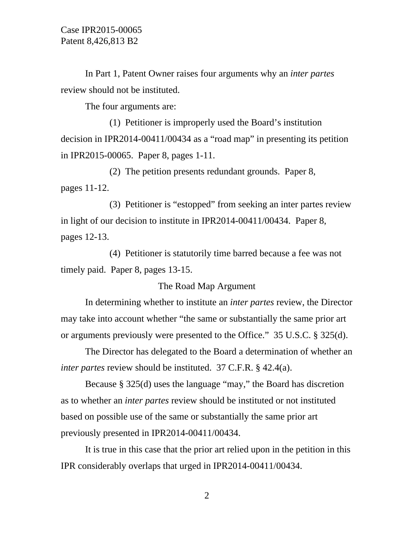In Part 1, Patent Owner raises four arguments why an *inter partes* review should not be instituted.

The four arguments are:

 (1) Petitioner is improperly used the Board's institution decision in IPR2014-00411/00434 as a "road map" in presenting its petition in IPR2015-00065. Paper 8, pages 1-11.

 (2) The petition presents redundant grounds. Paper 8, pages 11-12.

 (3) Petitioner is "estopped" from seeking an inter partes review in light of our decision to institute in IPR2014-00411/00434. Paper 8, pages 12-13.

 (4) Petitioner is statutorily time barred because a fee was not timely paid. Paper 8, pages 13-15.

The Road Map Argument

 In determining whether to institute an *inter partes* review, the Director may take into account whether "the same or substantially the same prior art or arguments previously were presented to the Office." 35 U.S.C. § 325(d).

 The Director has delegated to the Board a determination of whether an *inter partes* review should be instituted. 37 C.F.R. § 42.4(a).

 Because § 325(d) uses the language "may," the Board has discretion as to whether an *inter partes* review should be instituted or not instituted based on possible use of the same or substantially the same prior art previously presented in IPR2014-00411/00434.

 It is true in this case that the prior art relied upon in the petition in this IPR considerably overlaps that urged in IPR2014-00411/00434.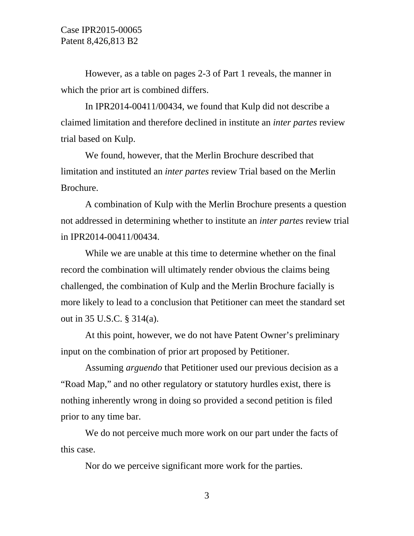However, as a table on pages 2-3 of Part 1 reveals, the manner in which the prior art is combined differs.

 In IPR2014-00411/00434, we found that Kulp did not describe a claimed limitation and therefore declined in institute an *inter partes* review trial based on Kulp.

We found, however, that the Merlin Brochure described that limitation and instituted an *inter partes* review Trial based on the Merlin Brochure.

A combination of Kulp with the Merlin Brochure presents a question not addressed in determining whether to institute an *inter partes* review trial in IPR2014-00411/00434.

While we are unable at this time to determine whether on the final record the combination will ultimately render obvious the claims being challenged, the combination of Kulp and the Merlin Brochure facially is more likely to lead to a conclusion that Petitioner can meet the standard set out in 35 U.S.C. § 314(a).

 At this point, however, we do not have Patent Owner's preliminary input on the combination of prior art proposed by Petitioner.

 Assuming *arguendo* that Petitioner used our previous decision as a "Road Map," and no other regulatory or statutory hurdles exist, there is nothing inherently wrong in doing so provided a second petition is filed prior to any time bar.

We do not perceive much more work on our part under the facts of this case.

Nor do we perceive significant more work for the parties.

3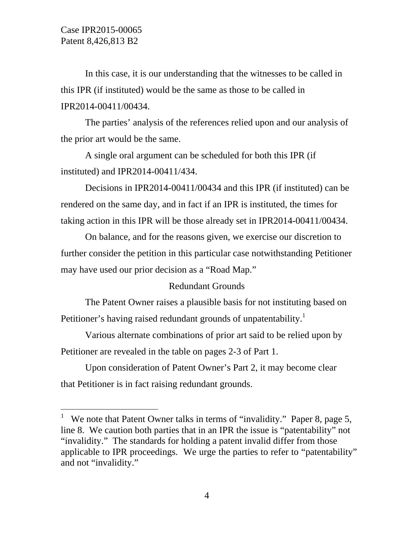-

In this case, it is our understanding that the witnesses to be called in this IPR (if instituted) would be the same as those to be called in IPR2014-00411/00434.

 The parties' analysis of the references relied upon and our analysis of the prior art would be the same.

 A single oral argument can be scheduled for both this IPR (if instituted) and IPR2014-00411/434.

 Decisions in IPR2014-00411/00434 and this IPR (if instituted) can be rendered on the same day, and in fact if an IPR is instituted, the times for taking action in this IPR will be those already set in IPR2014-00411/00434.

 On balance, and for the reasons given, we exercise our discretion to further consider the petition in this particular case notwithstanding Petitioner may have used our prior decision as a "Road Map."

## Redundant Grounds

 The Patent Owner raises a plausible basis for not instituting based on Petitioner's having raised redundant grounds of unpatentability.<sup>1</sup>

 Various alternate combinations of prior art said to be relied upon by Petitioner are revealed in the table on pages 2-3 of Part 1.

 Upon consideration of Patent Owner's Part 2, it may become clear that Petitioner is in fact raising redundant grounds.

<sup>&</sup>lt;sup>1</sup> We note that Patent Owner talks in terms of "invalidity." Paper 8, page 5, line 8. We caution both parties that in an IPR the issue is "patentability" not "invalidity." The standards for holding a patent invalid differ from those applicable to IPR proceedings. We urge the parties to refer to "patentability" and not "invalidity."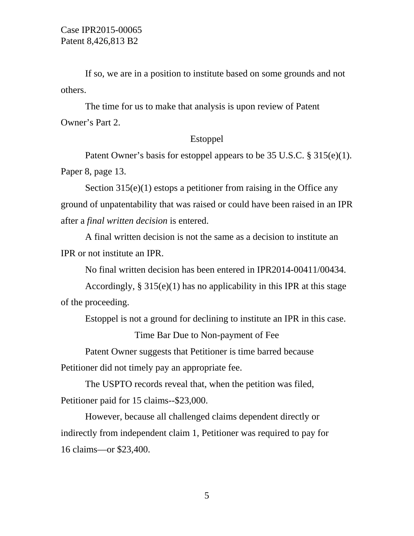If so, we are in a position to institute based on some grounds and not others.

 The time for us to make that analysis is upon review of Patent Owner's Part 2.

## Estoppel

 Patent Owner's basis for estoppel appears to be 35 U.S.C. § 315(e)(1). Paper 8, page 13.

Section  $315(e)(1)$  estops a petitioner from raising in the Office any ground of unpatentability that was raised or could have been raised in an IPR after a *final written decision* is entered.

 A final written decision is not the same as a decision to institute an IPR or not institute an IPR.

No final written decision has been entered in IPR2014-00411/00434.

Accordingly,  $\S 315(e)(1)$  has no applicability in this IPR at this stage of the proceeding.

Estoppel is not a ground for declining to institute an IPR in this case.

Time Bar Due to Non-payment of Fee

Patent Owner suggests that Petitioner is time barred because

Petitioner did not timely pay an appropriate fee.

 The USPTO records reveal that, when the petition was filed, Petitioner paid for 15 claims--\$23,000.

 However, because all challenged claims dependent directly or indirectly from independent claim 1, Petitioner was required to pay for 16 claims—or \$23,400.

5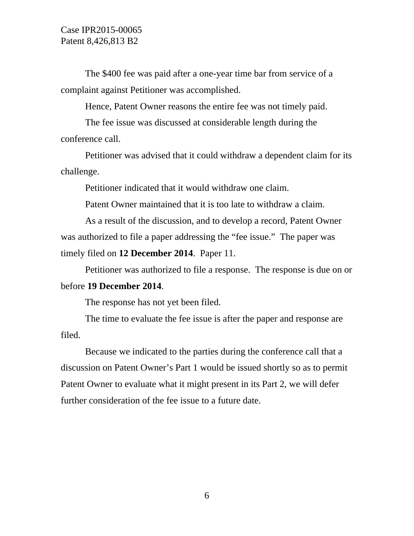The \$400 fee was paid after a one-year time bar from service of a complaint against Petitioner was accomplished.

Hence, Patent Owner reasons the entire fee was not timely paid.

 The fee issue was discussed at considerable length during the conference call.

 Petitioner was advised that it could withdraw a dependent claim for its challenge.

Petitioner indicated that it would withdraw one claim.

Patent Owner maintained that it is too late to withdraw a claim.

 As a result of the discussion, and to develop a record, Patent Owner was authorized to file a paper addressing the "fee issue." The paper was timely filed on **12 December 2014**. Paper 11.

 Petitioner was authorized to file a response. The response is due on or before **19 December 2014**.

The response has not yet been filed.

 The time to evaluate the fee issue is after the paper and response are filed.

 Because we indicated to the parties during the conference call that a discussion on Patent Owner's Part 1 would be issued shortly so as to permit Patent Owner to evaluate what it might present in its Part 2, we will defer further consideration of the fee issue to a future date.